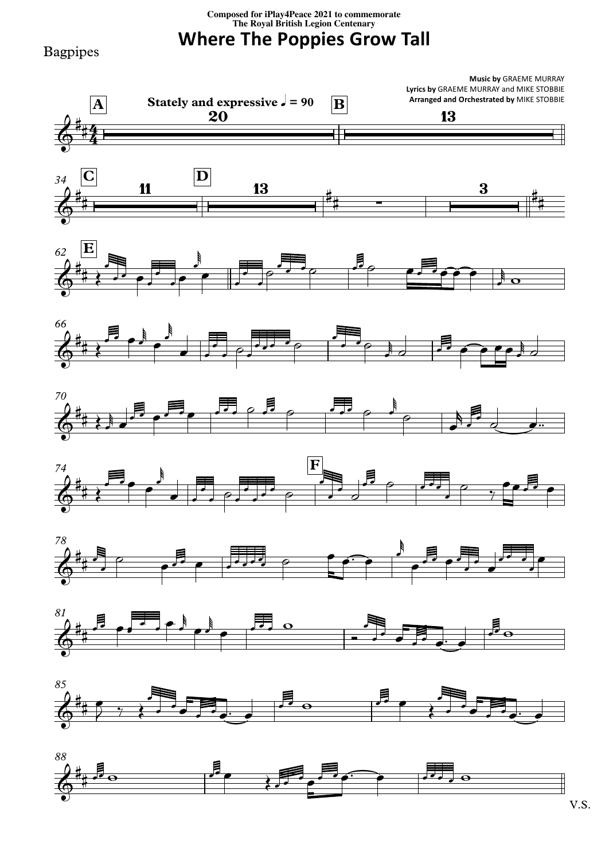## **Composed for iPlay4Peace <sup>2021</sup> to commemorate The Royal British Legion Centenary**

**Where The Poppies Grow Tall**

Bagpipes